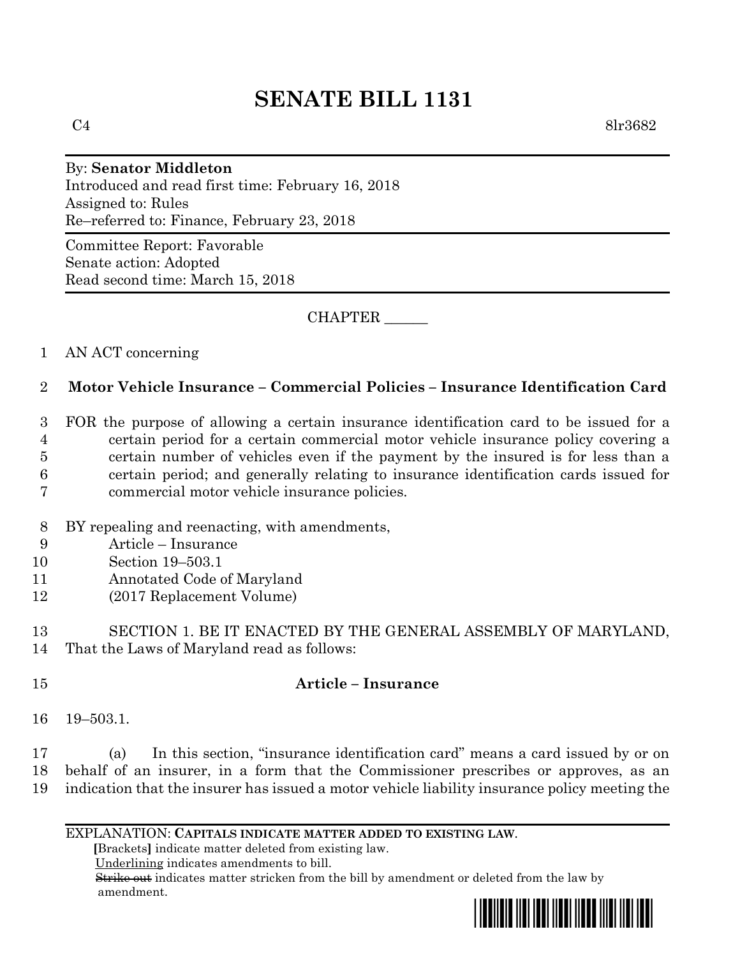# **SENATE BILL 1131**

 $C4$  8lr3682

#### By: **Senator Middleton**

Introduced and read first time: February 16, 2018 Assigned to: Rules Re–referred to: Finance, February 23, 2018

Committee Report: Favorable Senate action: Adopted Read second time: March 15, 2018

CHAPTER \_\_\_\_\_\_

## 1 AN ACT concerning

## 2 **Motor Vehicle Insurance – Commercial Policies – Insurance Identification Card**

 FOR the purpose of allowing a certain insurance identification card to be issued for a certain period for a certain commercial motor vehicle insurance policy covering a certain number of vehicles even if the payment by the insured is for less than a certain period; and generally relating to insurance identification cards issued for commercial motor vehicle insurance policies.

- 8 BY repealing and reenacting, with amendments,
- 9 Article Insurance
- 10 Section 19–503.1
- 11 Annotated Code of Maryland
- 12 (2017 Replacement Volume)

13 SECTION 1. BE IT ENACTED BY THE GENERAL ASSEMBLY OF MARYLAND, 14 That the Laws of Maryland read as follows:

## 15 **Article – Insurance**

16 19–503.1.

17 (a) In this section, "insurance identification card" means a card issued by or on 18 behalf of an insurer, in a form that the Commissioner prescribes or approves, as an 19 indication that the insurer has issued a motor vehicle liability insurance policy meeting the

#### EXPLANATION: **CAPITALS INDICATE MATTER ADDED TO EXISTING LAW**.

 **[**Brackets**]** indicate matter deleted from existing law.

Underlining indicates amendments to bill.

 Strike out indicates matter stricken from the bill by amendment or deleted from the law by amendment.